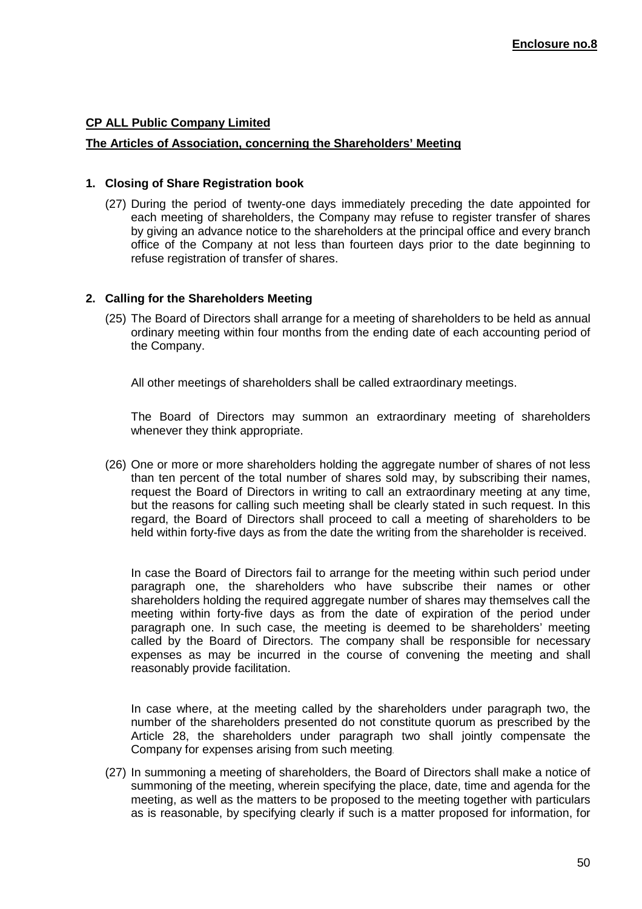# **CP ALL Public Company Limited**

#### **The Articles of Association, concerning the Shareholders' Meeting**

## **1. Closing of Share Registration book**

(27) During the period of twenty-one days immediately preceding the date appointed for each meeting of shareholders, the Company may refuse to register transfer of shares by giving an advance notice to the shareholders at the principal office and every branch office of the Company at not less than fourteen days prior to the date beginning to refuse registration of transfer of shares.

## **2. Calling for the Shareholders Meeting**

(25) The Board of Directors shall arrange for a meeting of shareholders to be held as annual ordinary meeting within four months from the ending date of each accounting period of the Company.

All other meetings of shareholders shall be called extraordinary meetings.

 The Board of Directors may summon an extraordinary meeting of shareholders whenever they think appropriate.

(26) One or more or more shareholders holding the aggregate number of shares of not less than ten percent of the total number of shares sold may, by subscribing their names, request the Board of Directors in writing to call an extraordinary meeting at any time, but the reasons for calling such meeting shall be clearly stated in such request. In this regard, the Board of Directors shall proceed to call a meeting of shareholders to be held within forty-five days as from the date the writing from the shareholder is received.

 In case the Board of Directors fail to arrange for the meeting within such period under paragraph one, the shareholders who have subscribe their names or other shareholders holding the required aggregate number of shares may themselves call the meeting within forty-five days as from the date of expiration of the period under paragraph one. In such case, the meeting is deemed to be shareholders' meeting called by the Board of Directors. The company shall be responsible for necessary expenses as may be incurred in the course of convening the meeting and shall reasonably provide facilitation.

 In case where, at the meeting called by the shareholders under paragraph two, the number of the shareholders presented do not constitute quorum as prescribed by the Article 28, the shareholders under paragraph two shall jointly compensate the Company for expenses arising from such meeting.

(27) In summoning a meeting of shareholders, the Board of Directors shall make a notice of summoning of the meeting, wherein specifying the place, date, time and agenda for the meeting, as well as the matters to be proposed to the meeting together with particulars as is reasonable, by specifying clearly if such is a matter proposed for information, for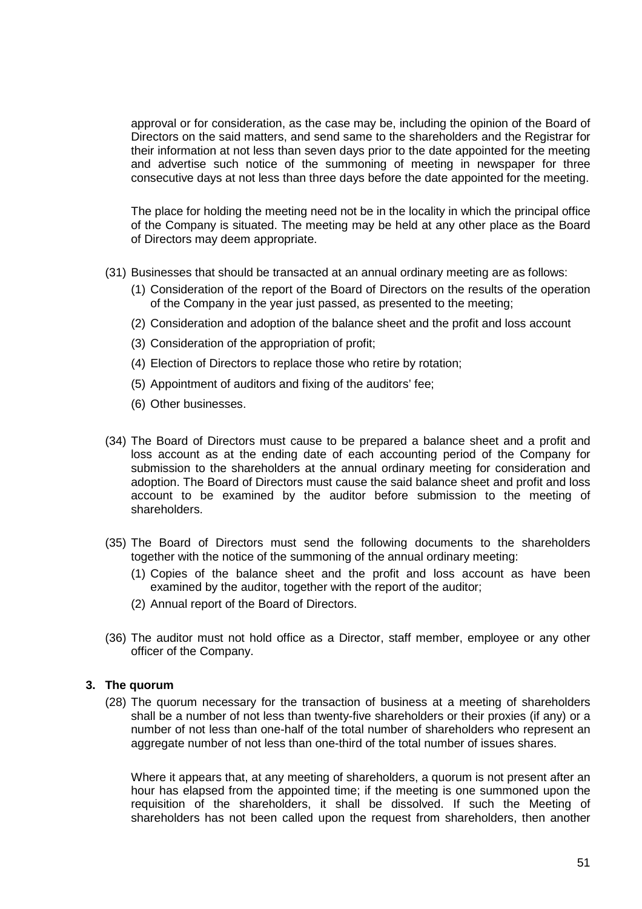approval or for consideration, as the case may be, including the opinion of the Board of Directors on the said matters, and send same to the shareholders and the Registrar for their information at not less than seven days prior to the date appointed for the meeting and advertise such notice of the summoning of meeting in newspaper for three consecutive days at not less than three days before the date appointed for the meeting.

The place for holding the meeting need not be in the locality in which the principal office of the Company is situated. The meeting may be held at any other place as the Board of Directors may deem appropriate.

- (31) Businesses that should be transacted at an annual ordinary meeting are as follows:
	- (1) Consideration of the report of the Board of Directors on the results of the operation of the Company in the year just passed, as presented to the meeting;
	- (2) Consideration and adoption of the balance sheet and the profit and loss account
	- (3) Consideration of the appropriation of profit;
	- (4) Election of Directors to replace those who retire by rotation;
	- (5) Appointment of auditors and fixing of the auditors' fee;
	- (6) Other businesses.
- (34) The Board of Directors must cause to be prepared a balance sheet and a profit and loss account as at the ending date of each accounting period of the Company for submission to the shareholders at the annual ordinary meeting for consideration and adoption. The Board of Directors must cause the said balance sheet and profit and loss account to be examined by the auditor before submission to the meeting of shareholders.
- (35) The Board of Directors must send the following documents to the shareholders together with the notice of the summoning of the annual ordinary meeting:
	- (1) Copies of the balance sheet and the profit and loss account as have been examined by the auditor, together with the report of the auditor;
	- (2) Annual report of the Board of Directors.
- (36) The auditor must not hold office as a Director, staff member, employee or any other officer of the Company.

## **3. The quorum**

(28) The quorum necessary for the transaction of business at a meeting of shareholders shall be a number of not less than twenty-five shareholders or their proxies (if any) or a number of not less than one-half of the total number of shareholders who represent an aggregate number of not less than one-third of the total number of issues shares.

Where it appears that, at any meeting of shareholders, a quorum is not present after an hour has elapsed from the appointed time; if the meeting is one summoned upon the requisition of the shareholders, it shall be dissolved. If such the Meeting of shareholders has not been called upon the request from shareholders, then another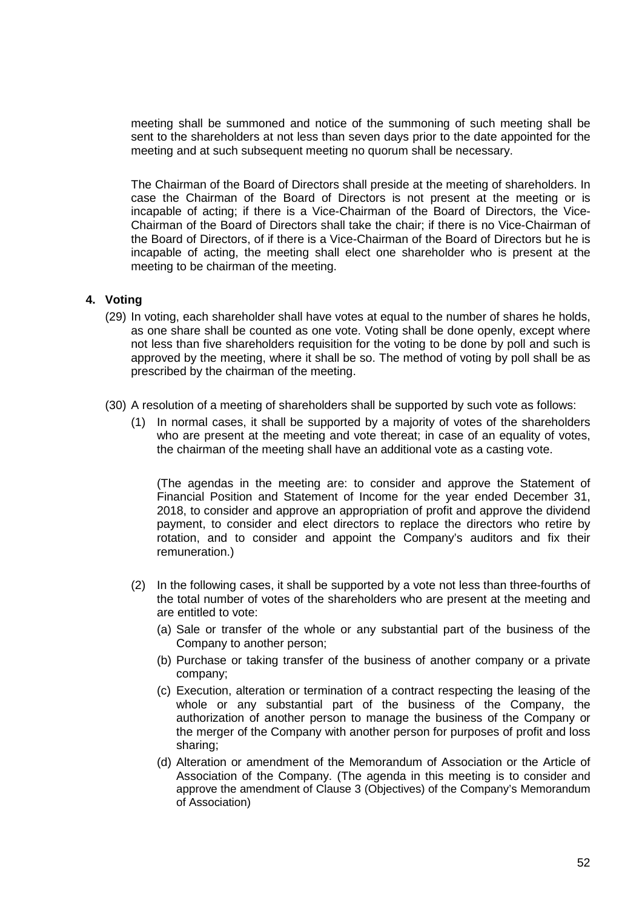meeting shall be summoned and notice of the summoning of such meeting shall be sent to the shareholders at not less than seven days prior to the date appointed for the meeting and at such subsequent meeting no quorum shall be necessary.

The Chairman of the Board of Directors shall preside at the meeting of shareholders. In case the Chairman of the Board of Directors is not present at the meeting or is incapable of acting; if there is a Vice-Chairman of the Board of Directors, the Vice-Chairman of the Board of Directors shall take the chair; if there is no Vice-Chairman of the Board of Directors, of if there is a Vice-Chairman of the Board of Directors but he is incapable of acting, the meeting shall elect one shareholder who is present at the meeting to be chairman of the meeting.

#### **4. Voting**

- (29) In voting, each shareholder shall have votes at equal to the number of shares he holds, as one share shall be counted as one vote. Voting shall be done openly, except where not less than five shareholders requisition for the voting to be done by poll and such is approved by the meeting, where it shall be so. The method of voting by poll shall be as prescribed by the chairman of the meeting.
- (30) A resolution of a meeting of shareholders shall be supported by such vote as follows:
	- (1) In normal cases, it shall be supported by a majority of votes of the shareholders who are present at the meeting and vote thereat; in case of an equality of votes, the chairman of the meeting shall have an additional vote as a casting vote.

(The agendas in the meeting are: to consider and approve the Statement of Financial Position and Statement of Income for the year ended December 31, 2018, to consider and approve an appropriation of profit and approve the dividend payment, to consider and elect directors to replace the directors who retire by rotation, and to consider and appoint the Company's auditors and fix their remuneration.)

- (2) In the following cases, it shall be supported by a vote not less than three-fourths of the total number of votes of the shareholders who are present at the meeting and are entitled to vote:
	- (a) Sale or transfer of the whole or any substantial part of the business of the Company to another person;
	- (b) Purchase or taking transfer of the business of another company or a private company;
	- (c) Execution, alteration or termination of a contract respecting the leasing of the whole or any substantial part of the business of the Company, the authorization of another person to manage the business of the Company or the merger of the Company with another person for purposes of profit and loss sharing;
	- (d) Alteration or amendment of the Memorandum of Association or the Article of Association of the Company. (The agenda in this meeting is to consider and approve the amendment of Clause 3 (Objectives) of the Company's Memorandum of Association)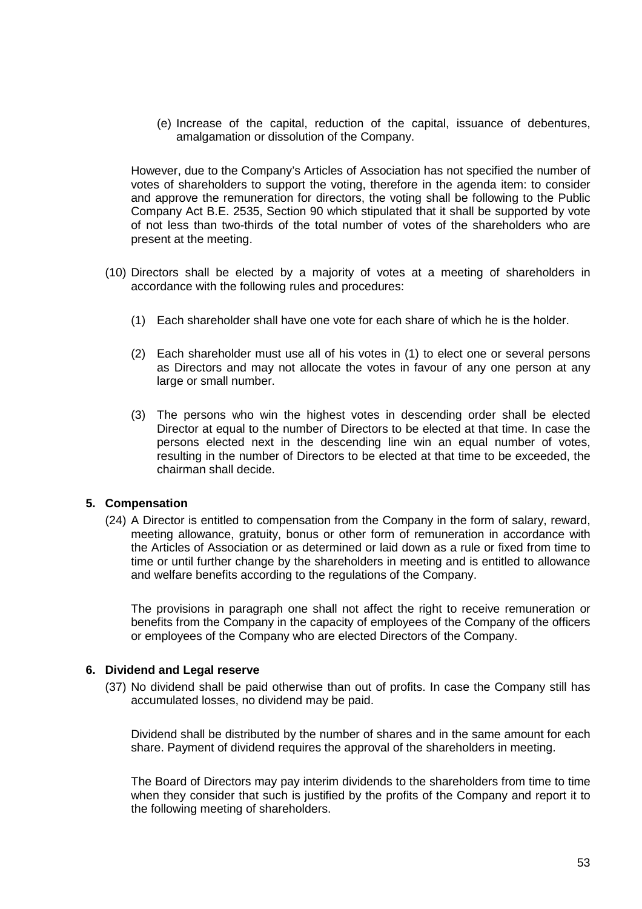(e) Increase of the capital, reduction of the capital, issuance of debentures, amalgamation or dissolution of the Company.

However, due to the Company's Articles of Association has not specified the number of votes of shareholders to support the voting, therefore in the agenda item: to consider and approve the remuneration for directors, the voting shall be following to the Public Company Act B.E. 2535, Section 90 which stipulated that it shall be supported by vote of not less than two-thirds of the total number of votes of the shareholders who are present at the meeting.

- (10) Directors shall be elected by a majority of votes at a meeting of shareholders in accordance with the following rules and procedures:
	- (1) Each shareholder shall have one vote for each share of which he is the holder.
	- (2) Each shareholder must use all of his votes in (1) to elect one or several persons as Directors and may not allocate the votes in favour of any one person at any large or small number.
	- (3) The persons who win the highest votes in descending order shall be elected Director at equal to the number of Directors to be elected at that time. In case the persons elected next in the descending line win an equal number of votes, resulting in the number of Directors to be elected at that time to be exceeded, the chairman shall decide.

#### **5. Compensation**

(24) A Director is entitled to compensation from the Company in the form of salary, reward, meeting allowance, gratuity, bonus or other form of remuneration in accordance with the Articles of Association or as determined or laid down as a rule or fixed from time to time or until further change by the shareholders in meeting and is entitled to allowance and welfare benefits according to the regulations of the Company.

 The provisions in paragraph one shall not affect the right to receive remuneration or benefits from the Company in the capacity of employees of the Company of the officers or employees of the Company who are elected Directors of the Company.

#### **6. Dividend and Legal reserve**

(37) No dividend shall be paid otherwise than out of profits. In case the Company still has accumulated losses, no dividend may be paid.

Dividend shall be distributed by the number of shares and in the same amount for each share. Payment of dividend requires the approval of the shareholders in meeting.

The Board of Directors may pay interim dividends to the shareholders from time to time when they consider that such is justified by the profits of the Company and report it to the following meeting of shareholders.